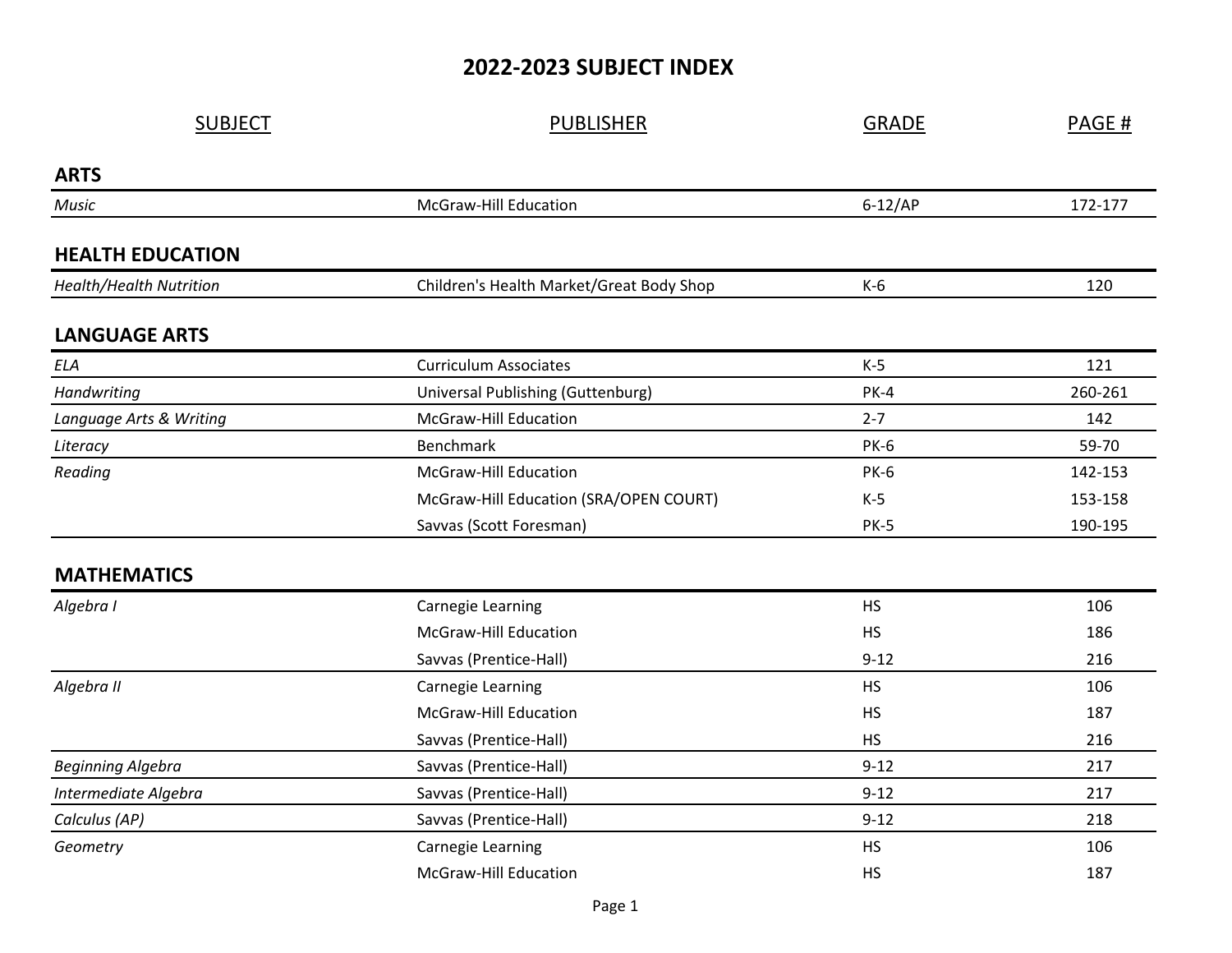## **2022-2023 SUBJECT INDEX**

| <b>SUBJECT</b>                 | <b>PUBLISHER</b>                         | <b>GRADE</b> | PAGE#   |
|--------------------------------|------------------------------------------|--------------|---------|
| <b>ARTS</b>                    |                                          |              |         |
| Music                          | McGraw-Hill Education                    | $6-12/AP$    | 172-177 |
| <b>HEALTH EDUCATION</b>        |                                          |              |         |
| <b>Health/Health Nutrition</b> | Children's Health Market/Great Body Shop | $K-6$        | 120     |
| <b>LANGUAGE ARTS</b>           |                                          |              |         |
| ELA                            | <b>Curriculum Associates</b>             | $K-5$        | 121     |
| Handwriting                    | Universal Publishing (Guttenburg)        | $PK-4$       | 260-261 |
| Language Arts & Writing        | <b>McGraw-Hill Education</b>             | $2 - 7$      | 142     |
| Literacy                       | <b>Benchmark</b>                         | <b>PK-6</b>  | 59-70   |
| Reading                        | McGraw-Hill Education                    | <b>PK-6</b>  | 142-153 |
|                                | McGraw-Hill Education (SRA/OPEN COURT)   | $K-5$        | 153-158 |
|                                | Savvas (Scott Foresman)                  | <b>PK-5</b>  | 190-195 |
| <b>MATHEMATICS</b>             |                                          |              |         |
| Algebra I                      | Carnegie Learning                        | <b>HS</b>    | 106     |
|                                | <b>McGraw-Hill Education</b>             | <b>HS</b>    | 186     |
|                                | Savvas (Prentice-Hall)                   | $9 - 12$     | 216     |
| Algebra II                     | Carnegie Learning                        | <b>HS</b>    | 106     |
|                                | <b>McGraw-Hill Education</b>             | <b>HS</b>    | 187     |
|                                | Savvas (Prentice-Hall)                   | <b>HS</b>    | 216     |
| <b>Beginning Algebra</b>       | Savvas (Prentice-Hall)                   | $9 - 12$     | 217     |
| Intermediate Algebra           | Savvas (Prentice-Hall)                   | $9 - 12$     | 217     |
| Calculus (AP)                  | Savvas (Prentice-Hall)                   | $9 - 12$     | 218     |
| Geometry                       | Carnegie Learning                        | <b>HS</b>    | 106     |
|                                | <b>McGraw-Hill Education</b>             | <b>HS</b>    | 187     |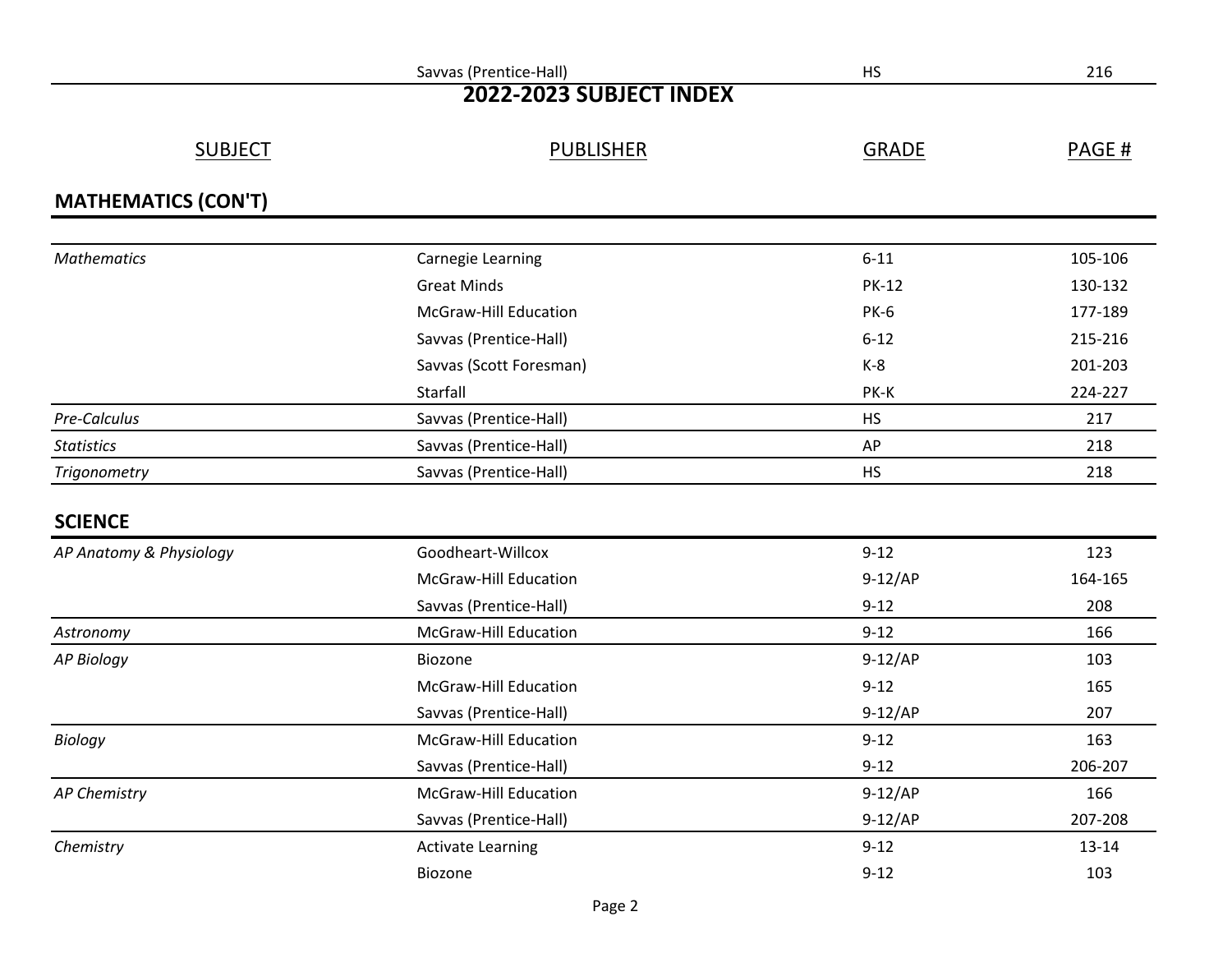|                            | Savvas (Prentice-Hall)       | <b>HS</b>    | 216       |
|----------------------------|------------------------------|--------------|-----------|
| 2022-2023 SUBJECT INDEX    |                              |              |           |
| <b>SUBJECT</b>             | <b>PUBLISHER</b>             | <b>GRADE</b> | PAGE #    |
| <b>MATHEMATICS (CON'T)</b> |                              |              |           |
| <b>Mathematics</b>         | <b>Carnegie Learning</b>     | $6 - 11$     | 105-106   |
|                            | <b>Great Minds</b>           | <b>PK-12</b> | 130-132   |
|                            | <b>McGraw-Hill Education</b> | <b>PK-6</b>  | 177-189   |
|                            | Savvas (Prentice-Hall)       | $6 - 12$     | 215-216   |
|                            | Savvas (Scott Foresman)      | $K-8$        | 201-203   |
|                            | Starfall                     | PK-K         | 224-227   |
| Pre-Calculus               | Savvas (Prentice-Hall)       | <b>HS</b>    | 217       |
| <b>Statistics</b>          | Savvas (Prentice-Hall)       | AP           | 218       |
| Trigonometry               | Savvas (Prentice-Hall)       | <b>HS</b>    | 218       |
| <b>SCIENCE</b>             |                              |              |           |
| AP Anatomy & Physiology    | Goodheart-Willcox            | $9 - 12$     | 123       |
|                            | <b>McGraw-Hill Education</b> | $9-12/AP$    | 164-165   |
|                            | Savvas (Prentice-Hall)       | $9 - 12$     | 208       |
| Astronomy                  | <b>McGraw-Hill Education</b> | $9 - 12$     | 166       |
| <b>AP Biology</b>          | Biozone                      | $9-12/AP$    | 103       |
|                            | <b>McGraw-Hill Education</b> | $9 - 12$     | 165       |
|                            | Savvas (Prentice-Hall)       | $9-12/AP$    | 207       |
| <b>Biology</b>             | <b>McGraw-Hill Education</b> | $9 - 12$     | 163       |
|                            | Savvas (Prentice-Hall)       | $9-12$       | 206-207   |
| <b>AP Chemistry</b>        | McGraw-Hill Education        | $9-12/AP$    | 166       |
|                            | Savvas (Prentice-Hall)       | $9-12/AP$    | 207-208   |
| Chemistry                  | <b>Activate Learning</b>     | $9 - 12$     | $13 - 14$ |
|                            | Biozone                      | $9 - 12$     | 103       |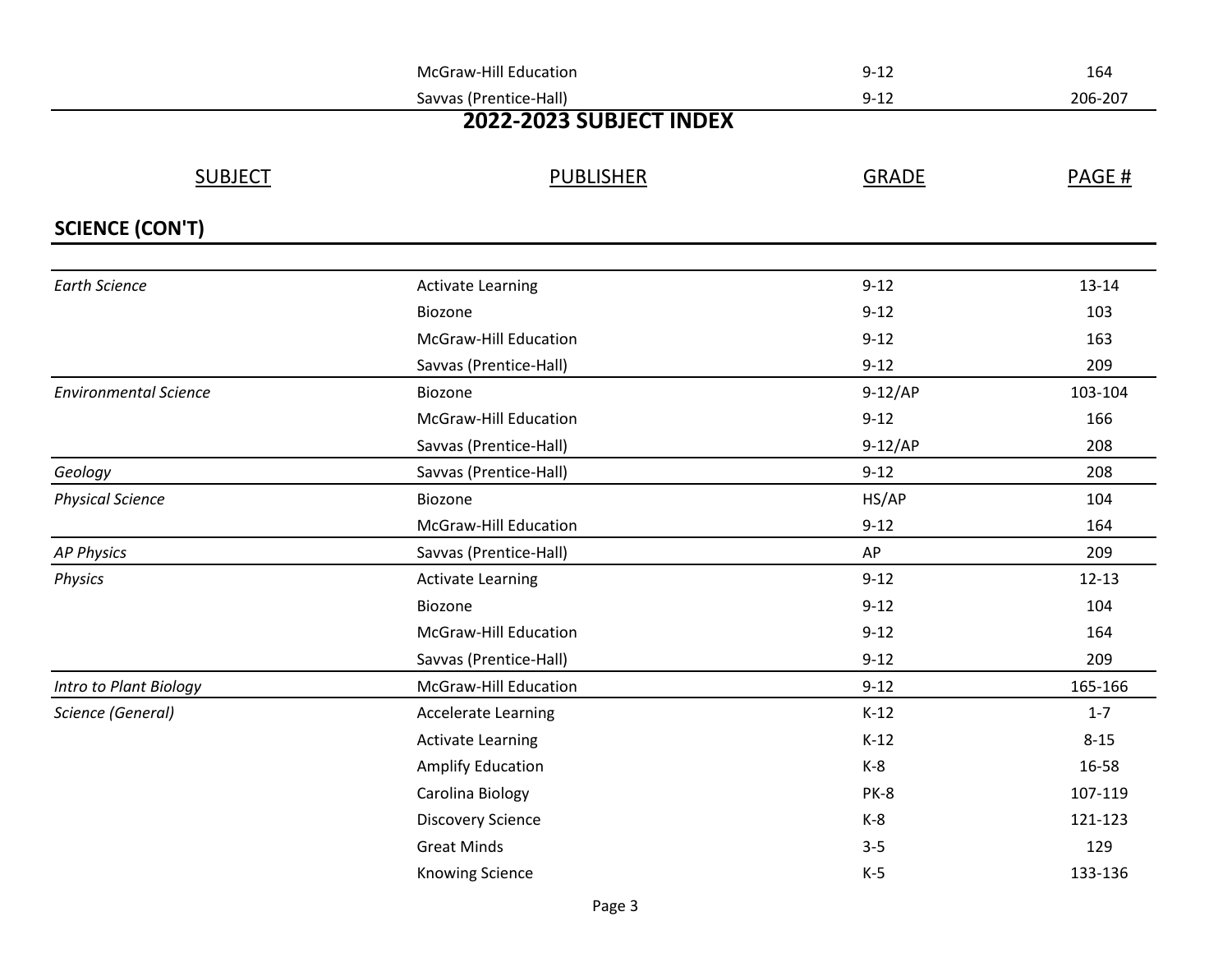|                              | <b>McGraw-Hill Education</b> | $9 - 12$     | 164       |
|------------------------------|------------------------------|--------------|-----------|
|                              | Savvas (Prentice-Hall)       | $9 - 12$     | 206-207   |
|                              | 2022-2023 SUBJECT INDEX      |              |           |
| <b>SUBJECT</b>               | <b>PUBLISHER</b>             | <b>GRADE</b> | PAGE #    |
| <b>SCIENCE (CON'T)</b>       |                              |              |           |
| <b>Earth Science</b>         | <b>Activate Learning</b>     | $9 - 12$     | $13 - 14$ |
|                              | Biozone                      | $9 - 12$     | 103       |
|                              | McGraw-Hill Education        | $9 - 12$     | 163       |
|                              | Savvas (Prentice-Hall)       | $9 - 12$     | 209       |
| <b>Environmental Science</b> | Biozone                      | $9-12/AP$    | 103-104   |
|                              | <b>McGraw-Hill Education</b> | $9 - 12$     | 166       |
|                              | Savvas (Prentice-Hall)       | $9-12/AP$    | 208       |
| Geology                      | Savvas (Prentice-Hall)       | $9 - 12$     | 208       |
| <b>Physical Science</b>      | Biozone                      | HS/AP        | 104       |
|                              | <b>McGraw-Hill Education</b> | $9 - 12$     | 164       |
| <b>AP Physics</b>            | Savvas (Prentice-Hall)       | AP           | 209       |
| <b>Physics</b>               | <b>Activate Learning</b>     | $9 - 12$     | $12 - 13$ |
|                              | Biozone                      | $9 - 12$     | 104       |
|                              | <b>McGraw-Hill Education</b> | $9 - 12$     | 164       |
|                              | Savvas (Prentice-Hall)       | $9 - 12$     | 209       |
| Intro to Plant Biology       | McGraw-Hill Education        | $9 - 12$     | 165-166   |
| Science (General)            | <b>Accelerate Learning</b>   | $K-12$       | $1 - 7$   |
|                              | <b>Activate Learning</b>     | $K-12$       | $8 - 15$  |
|                              | <b>Amplify Education</b>     | $K-8$        | 16-58     |
|                              | Carolina Biology             | PK-8         | 107-119   |
|                              | <b>Discovery Science</b>     | $K-8$        | 121-123   |
|                              | <b>Great Minds</b>           | $3 - 5$      | 129       |
|                              | <b>Knowing Science</b>       | $K-5$        | 133-136   |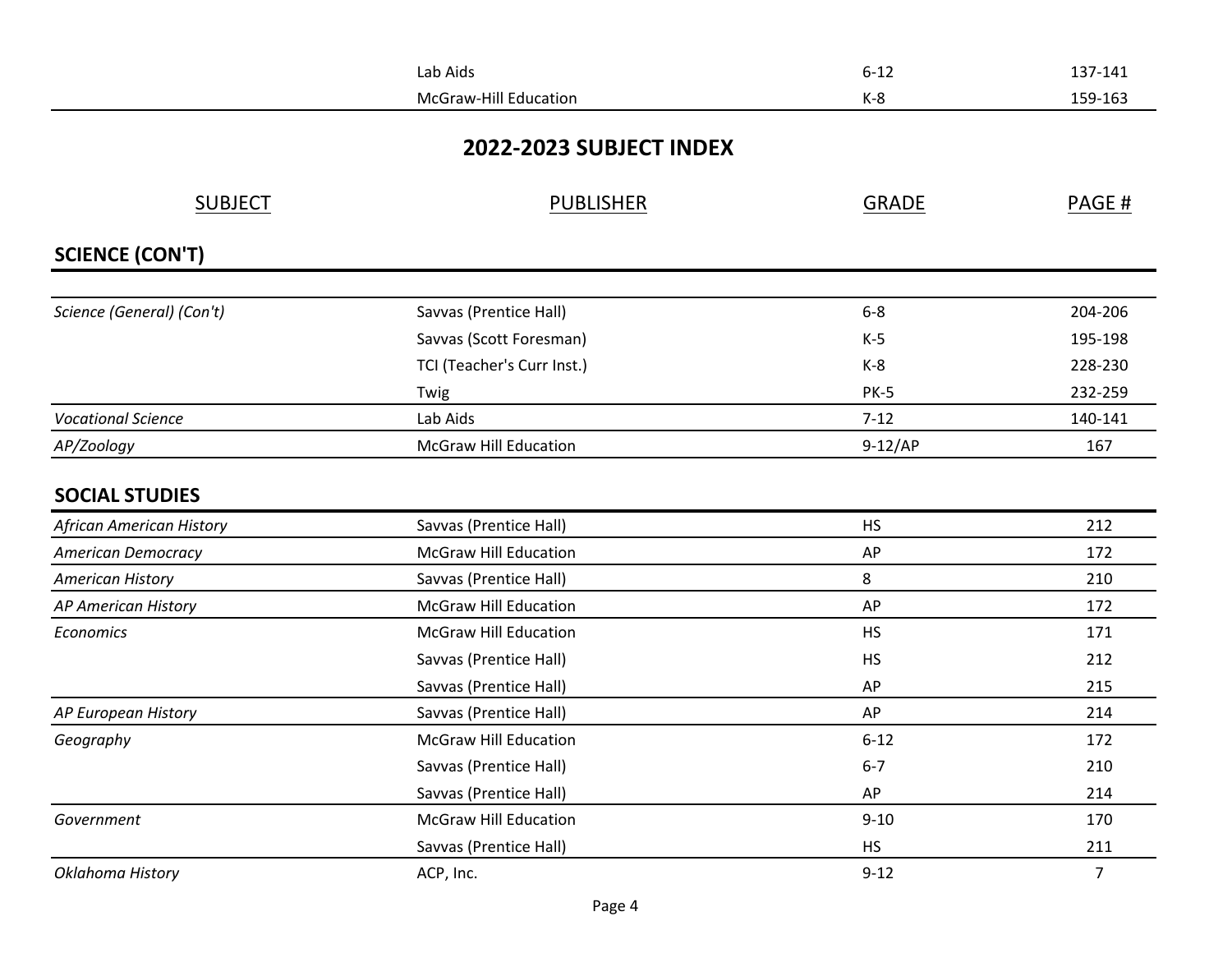|                           | Lab Aids                     | $6 - 12$     | 137-141        |
|---------------------------|------------------------------|--------------|----------------|
|                           | <b>McGraw-Hill Education</b> | $K-8$        | 159-163        |
|                           | 2022-2023 SUBJECT INDEX      |              |                |
| <b>SUBJECT</b>            | <b>PUBLISHER</b>             | <b>GRADE</b> | PAGE#          |
|                           |                              |              |                |
| <b>SCIENCE (CON'T)</b>    |                              |              |                |
| Science (General) (Con't) | Savvas (Prentice Hall)       | $6 - 8$      | 204-206        |
|                           | Savvas (Scott Foresman)      | $K-5$        | 195-198        |
|                           | TCI (Teacher's Curr Inst.)   | $K-8$        | 228-230        |
|                           | Twig                         | <b>PK-5</b>  | 232-259        |
| <b>Vocational Science</b> | Lab Aids                     | $7-12$       | 140-141        |
| AP/Zoology                | <b>McGraw Hill Education</b> | $9-12/AP$    | 167            |
| <b>SOCIAL STUDIES</b>     |                              |              |                |
| African American History  | Savvas (Prentice Hall)       | <b>HS</b>    | 212            |
| <b>American Democracy</b> | <b>McGraw Hill Education</b> | AP           | 172            |
| <b>American History</b>   | Savvas (Prentice Hall)       | 8            | 210            |
| AP American History       | <b>McGraw Hill Education</b> | AP           | 172            |
| Economics                 | <b>McGraw Hill Education</b> | <b>HS</b>    | 171            |
|                           | Savvas (Prentice Hall)       | <b>HS</b>    | 212            |
|                           | Savvas (Prentice Hall)       | AP           | 215            |
| AP European History       | Savvas (Prentice Hall)       | AP           | 214            |
| Geography                 | <b>McGraw Hill Education</b> | $6 - 12$     | 172            |
|                           | Savvas (Prentice Hall)       | $6 - 7$      | 210            |
|                           | Savvas (Prentice Hall)       | AP           | 214            |
| Government                | <b>McGraw Hill Education</b> | $9 - 10$     | 170            |
|                           | Savvas (Prentice Hall)       | <b>HS</b>    | 211            |
| Oklahoma History          | ACP, Inc.                    | $9 - 12$     | $\overline{7}$ |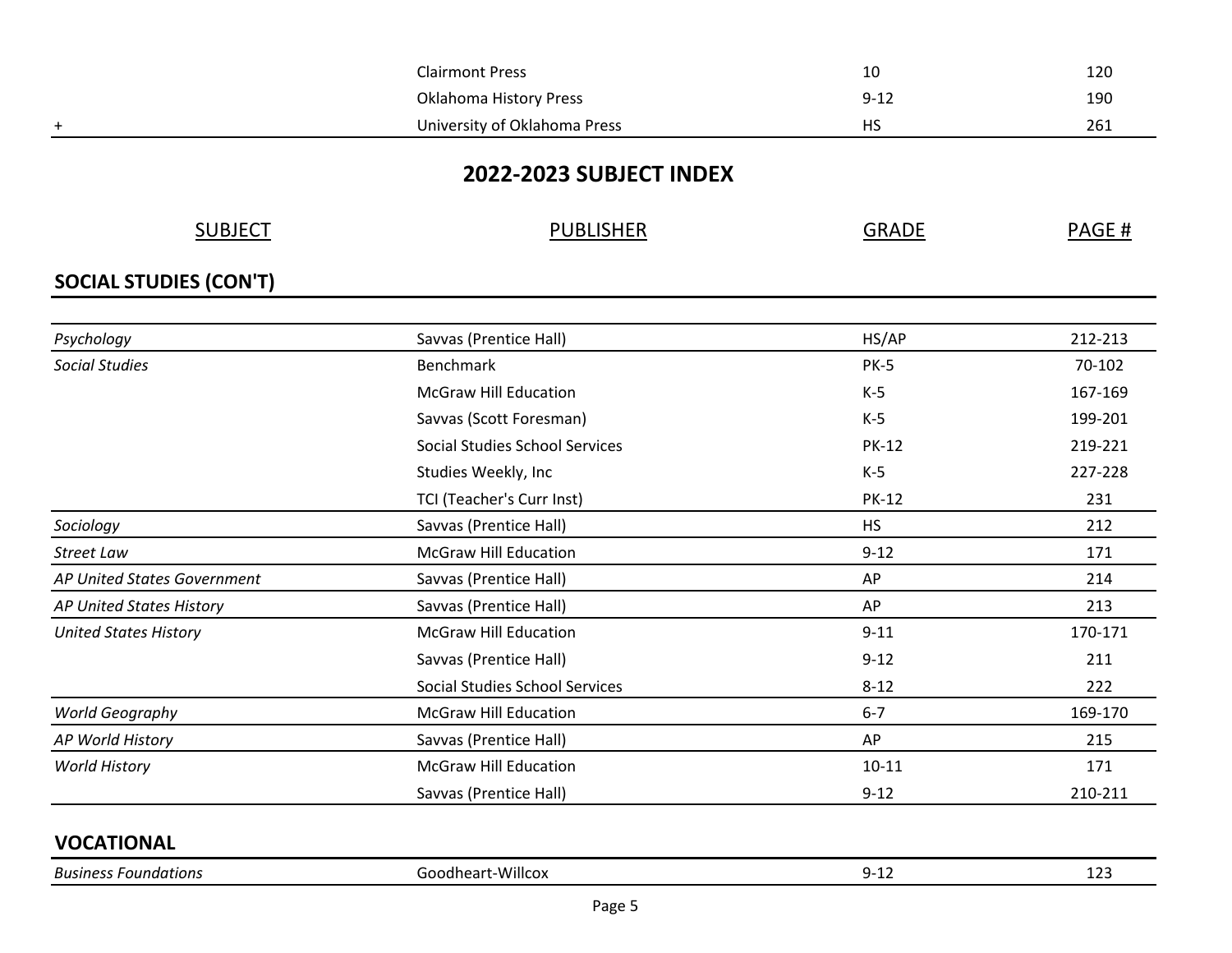|                               | <b>Clairmont Press</b>                | 10           | 120     |
|-------------------------------|---------------------------------------|--------------|---------|
|                               | <b>Oklahoma History Press</b>         | $9 - 12$     | 190     |
| $\ddot{}$                     | University of Oklahoma Press          | <b>HS</b>    | 261     |
|                               |                                       |              |         |
|                               | 2022-2023 SUBJECT INDEX               |              |         |
| <b>SUBJECT</b>                | <b>PUBLISHER</b>                      | <b>GRADE</b> | PAGE#   |
| <b>SOCIAL STUDIES (CON'T)</b> |                                       |              |         |
|                               |                                       |              |         |
| Psychology                    | Savvas (Prentice Hall)                | HS/AP        | 212-213 |
| <b>Social Studies</b>         | <b>Benchmark</b>                      | <b>PK-5</b>  | 70-102  |
|                               | <b>McGraw Hill Education</b>          | $K-5$        | 167-169 |
|                               | Savvas (Scott Foresman)               | $K-5$        | 199-201 |
|                               | <b>Social Studies School Services</b> | <b>PK-12</b> | 219-221 |
|                               | Studies Weekly, Inc                   | $K-5$        | 227-228 |
|                               | TCI (Teacher's Curr Inst)             | <b>PK-12</b> | 231     |
| Sociology                     | Savvas (Prentice Hall)                | <b>HS</b>    | 212     |
| <b>Street Law</b>             | <b>McGraw Hill Education</b>          | $9 - 12$     | 171     |
| AP United States Government   | Savvas (Prentice Hall)                | AP           | 214     |
| AP United States History      | Savvas (Prentice Hall)                | AP           | 213     |
| <b>United States History</b>  | <b>McGraw Hill Education</b>          | $9 - 11$     | 170-171 |
|                               | Savvas (Prentice Hall)                | $9 - 12$     | 211     |
|                               | <b>Social Studies School Services</b> | $8 - 12$     | 222     |
| World Geography               | <b>McGraw Hill Education</b>          | $6 - 7$      | 169-170 |
| AP World History              | Savvas (Prentice Hall)                | AP           | 215     |
| <b>World History</b>          | <b>McGraw Hill Education</b>          | $10 - 11$    | 171     |
|                               | Savvas (Prentice Hall)                | $9 - 12$     | 210-211 |
| <b>VOCATIONAL</b>             |                                       |              |         |
| <b>Business Foundations</b>   | Goodheart-Willcox                     | $9 - 12$     | 123     |
|                               |                                       |              |         |